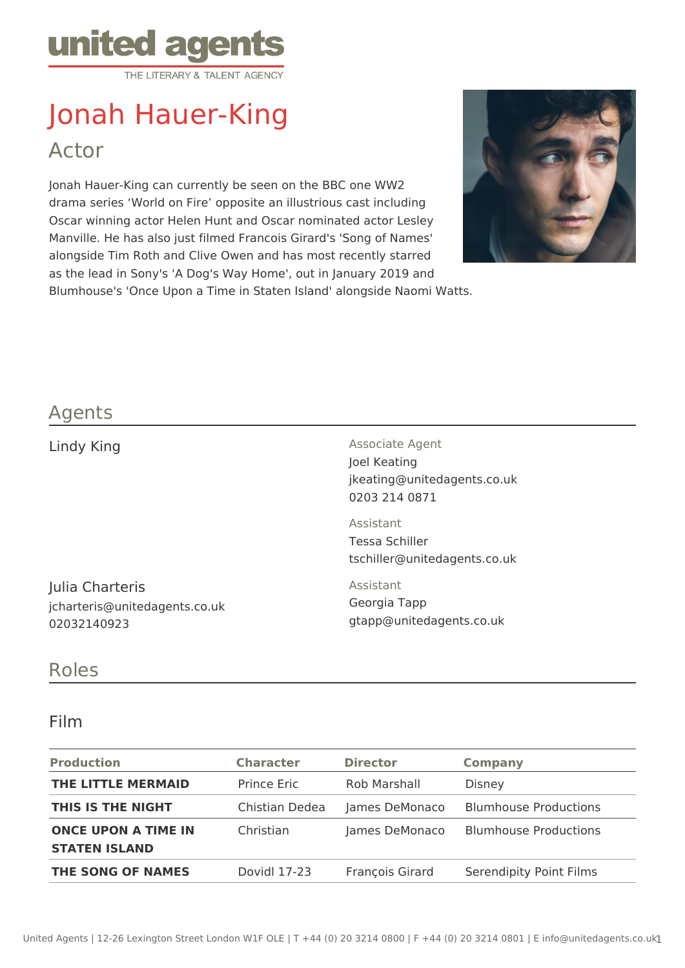

# Jonah Hauer-King Actor

Jonah Hauer-King can currently be seen on the BBC one WW2 drama series 'World on Fire' opposite an illustrious cast including Oscar winning actor Helen Hunt and Oscar nominated actor Lesley Manville. He has also just filmed Francois Girard's 'Song of Names' alongside Tim Roth and Clive Owen and has most recently starred as the lead in Sony's 'A Dog's Way Home', out in January 2019 and Blumhouse's 'Once Upon a Time in Staten Island' alongside Naomi Watts.



## Agents

Lindy King **Associate Agent** Associate Agent Joel Keating jkeating@unitedagents.co.uk 0203 214 0871

> Assistant Tessa Schiller tschiller@unitedagents.co.uk

Julia Charteris jcharteris@unitedagents.co.uk 02032140923

Assistant Georgia Tapp gtapp@unitedagents.co.uk

### Roles

#### Film

| <b>Production</b>                                  | <b>Character</b>   | <b>Director</b> | <b>Company</b>               |
|----------------------------------------------------|--------------------|-----------------|------------------------------|
| THE LITTLE MERMAID                                 | <b>Prince Eric</b> | Rob Marshall    | Disney                       |
| THIS IS THE NIGHT                                  | Chistian Dedea     | James DeMonaco  | <b>Blumhouse Productions</b> |
| <b>ONCE UPON A TIME IN</b><br><b>STATEN ISLAND</b> | Christian          | James DeMonaco  | <b>Blumhouse Productions</b> |
| THE SONG OF NAMES                                  | Dovidl 17-23       | François Girard | Serendipity Point Films      |